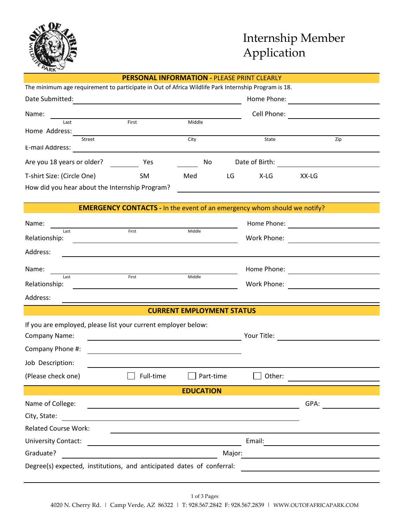

# Internship Member Application

| ARK                                                                                                                                                                                            |                                                                                                                       |                                  |                  |                |       |                                                           |  |  |
|------------------------------------------------------------------------------------------------------------------------------------------------------------------------------------------------|-----------------------------------------------------------------------------------------------------------------------|----------------------------------|------------------|----------------|-------|-----------------------------------------------------------|--|--|
|                                                                                                                                                                                                | <b>PERSONAL INFORMATION - PLEASE PRINT CLEARLY</b>                                                                    |                                  |                  |                |       |                                                           |  |  |
| The minimum age requirement to participate in Out of Africa Wildlife Park Internship Program is 18.                                                                                            |                                                                                                                       |                                  |                  |                |       |                                                           |  |  |
| Date Submitted:                                                                                                                                                                                | <u> 1980 - Johann Barbara, martxa alemaniar arg</u>                                                                   |                                  |                  | Home Phone:    |       | <u> 1989 - Andrea Station Books, amerikansk politik (</u> |  |  |
| Name:                                                                                                                                                                                          |                                                                                                                       |                                  |                  | Cell Phone:    |       |                                                           |  |  |
| Last                                                                                                                                                                                           | First                                                                                                                 | Middle                           |                  |                |       |                                                           |  |  |
| Home Address:<br>Street                                                                                                                                                                        |                                                                                                                       | City                             |                  | State          |       | Zip                                                       |  |  |
| E-mail Address:                                                                                                                                                                                | <u> 1989 - Johann Barbara, martin amerikan basal dan berkembang di banyak di banyak di banyak di banyak di banyak</u> |                                  |                  |                |       |                                                           |  |  |
| Are you 18 years or older?                                                                                                                                                                     | Yes                                                                                                                   | No                               |                  | Date of Birth: |       |                                                           |  |  |
| T-shirt Size: (Circle One)                                                                                                                                                                     | SM                                                                                                                    | Med                              | <b>Example 1</b> | X-LG           | XX-LG |                                                           |  |  |
|                                                                                                                                                                                                | How did you hear about the Internship Program?                                                                        |                                  |                  |                |       |                                                           |  |  |
|                                                                                                                                                                                                | <b>EMERGENCY CONTACTS</b> - In the event of an emergency whom should we notify?                                       |                                  |                  |                |       |                                                           |  |  |
|                                                                                                                                                                                                |                                                                                                                       |                                  |                  |                |       |                                                           |  |  |
| Name:<br>Last                                                                                                                                                                                  | First                                                                                                                 | Middle                           |                  |                |       | Home Phone: <u>__________________________________</u>     |  |  |
| Relationship:                                                                                                                                                                                  | <u> 1980 - Jan Sterling, amerikansk politiker (d. 1980)</u>                                                           |                                  |                  |                |       |                                                           |  |  |
| Address:                                                                                                                                                                                       |                                                                                                                       |                                  |                  |                |       |                                                           |  |  |
| Name:                                                                                                                                                                                          |                                                                                                                       |                                  |                  |                |       |                                                           |  |  |
| Last<br>Relationship:                                                                                                                                                                          | First<br><u> 1989 - Johann Barnett, fransk politiker (</u>                                                            | Middle                           |                  | Work Phone:    |       | <u> 1980 - Jan Samuel Barbara, martin di</u>              |  |  |
| Address:                                                                                                                                                                                       |                                                                                                                       |                                  |                  |                |       |                                                           |  |  |
|                                                                                                                                                                                                |                                                                                                                       | <b>CURRENT EMPLOYMENT STATUS</b> |                  |                |       |                                                           |  |  |
|                                                                                                                                                                                                | If you are employed, please list your current employer below:                                                         |                                  |                  |                |       |                                                           |  |  |
| Company Name:                                                                                                                                                                                  | <u> 1989 - Johann Barn, mars ann an t-Amhair an t-Amhair an t-Amhair an t-Amhair an t-Amhair an t-Amhair an t-Amh</u> |                                  |                  |                |       |                                                           |  |  |
| Company Phone #:                                                                                                                                                                               | <u> 1980 - Johann Stein, marwolaethau a bhann an t-Amhair an t-Amhair an t-Amhair an t-Amhair an t-Amhair an t-A</u>  |                                  |                  |                |       |                                                           |  |  |
| Job Description:                                                                                                                                                                               |                                                                                                                       |                                  |                  |                |       |                                                           |  |  |
| (Please check one)                                                                                                                                                                             | Full-time                                                                                                             | Part-time                        |                  | Other:         |       |                                                           |  |  |
| <b>EDUCATION</b>                                                                                                                                                                               |                                                                                                                       |                                  |                  |                |       |                                                           |  |  |
| Name of College:                                                                                                                                                                               |                                                                                                                       |                                  |                  |                | GPA:  |                                                           |  |  |
| City, State:                                                                                                                                                                                   |                                                                                                                       |                                  |                  |                |       |                                                           |  |  |
| <b>Related Course Work:</b>                                                                                                                                                                    |                                                                                                                       |                                  |                  |                |       |                                                           |  |  |
| University Contact:                                                                                                                                                                            | <u> 1989 - Johann John Stone, market fransk konge og det forskellige og det forskellige og det forskellige og de</u>  |                                  |                  | Email:         |       |                                                           |  |  |
| Graduate?                                                                                                                                                                                      |                                                                                                                       |                                  | Major:           |                |       |                                                           |  |  |
| Degree(s) expected, institutions, and anticipated dates of conferral:<br><u> 1989 - Johann John Stein, markin sanadi a shekara 1989 - An tsa a shekara 1989 - An tsa a shekara 1989 - An t</u> |                                                                                                                       |                                  |                  |                |       |                                                           |  |  |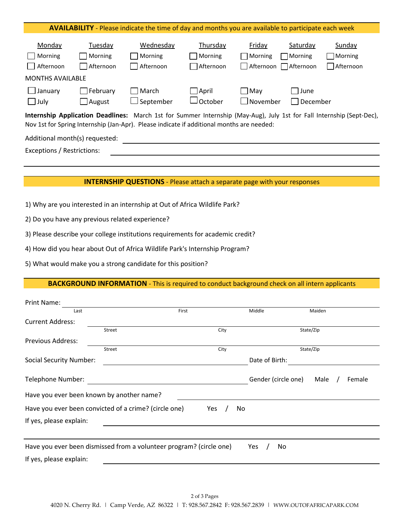| <b>AVAILABILITY</b> - Please indicate the time of day and months you are available to participate each week                                                                                                        |                                  |                                   |                                     |                                                 |                     |                                       |  |
|--------------------------------------------------------------------------------------------------------------------------------------------------------------------------------------------------------------------|----------------------------------|-----------------------------------|-------------------------------------|-------------------------------------------------|---------------------|---------------------------------------|--|
| Monday<br>Morning<br>Afternoon<br><b>College</b><br><b>MONTHS AVAILABLE</b>                                                                                                                                        | Tuesday<br>Morning<br>Afternoon  | Wednesday<br>Morning<br>Afternoon | Thursday<br>Morning<br>Afternoon    | Friday<br>$\Box$ Morning<br>Afternoon Afternoon | Saturday<br>Morning | Sunday<br>Morning<br><b>Afternoon</b> |  |
| $\Box$ January<br>$\Box$ July                                                                                                                                                                                      | $\Box$ February<br>$\Box$ August | March<br>$\sqcup$ September       | $\Box$ April<br>$\lrcorner$ October | May<br>$\Box$ November                          | l June<br>December  |                                       |  |
| Internship Application Deadlines: March 1st for Summer Internship (May-Aug), July 1st for Fall Internship (Sept-Dec),<br>Nov 1st for Spring Internship (Jan-Apr). Please indicate if additional months are needed: |                                  |                                   |                                     |                                                 |                     |                                       |  |
| Additional month(s) requested:                                                                                                                                                                                     |                                  |                                   |                                     |                                                 |                     |                                       |  |
| Exceptions / Restrictions:                                                                                                                                                                                         |                                  |                                   |                                     |                                                 |                     |                                       |  |

### **INTERNSHIP QUESTIONS** - Please attach a separate page with your responses

- 1) Why are you interested in an internship at Out of Africa Wildlife Park?
- 2) Do you have any previous related experience?
- 3) Please describe your college institutions requirements for academic credit?
- 4) How did you hear about Out of Africa Wildlife Park's Internship Program?
- 5) What would make you a strong candidate for this position?

## **BACKGROUND INFORMATION** - This is required to conduct background check on all intern applicants

| Print Name:                                                         |               |       |                     |                |
|---------------------------------------------------------------------|---------------|-------|---------------------|----------------|
| Last                                                                |               | First | Middle              | Maiden         |
| <b>Current Address:</b>                                             |               |       |                     |                |
|                                                                     | <b>Street</b> | City  |                     | State/Zip      |
| <b>Previous Address:</b>                                            |               |       |                     |                |
|                                                                     | Street        | City  |                     | State/Zip      |
| <b>Social Security Number:</b>                                      |               |       | Date of Birth:      |                |
|                                                                     |               |       |                     |                |
| Telephone Number:                                                   |               |       | Gender (circle one) | Male<br>Female |
| Have you ever been known by another name?                           |               |       |                     |                |
| Have you ever been convicted of a crime? (circle one)               |               | Yes   | No                  |                |
| If yes, please explain:                                             |               |       |                     |                |
|                                                                     |               |       |                     |                |
| Have you ever been dismissed from a volunteer program? (circle one) |               |       | <b>Yes</b><br>No    |                |
| If yes, please explain:                                             |               |       |                     |                |